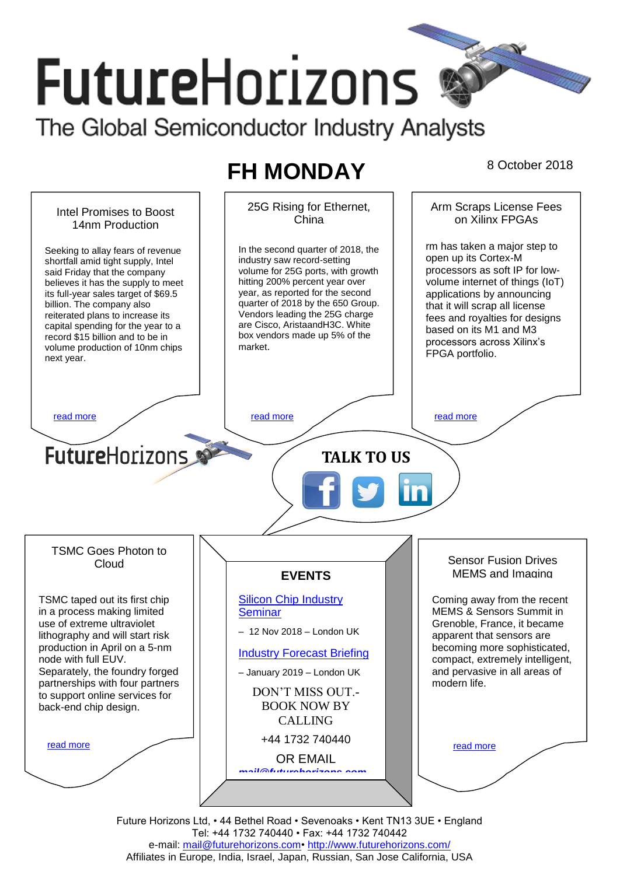# **FutureHorizons** The Global Semiconductor Industry Analysts

# **FH MONDAY** 8 October 2018

25G Rising for Ethernet, Arm Scraps License Fees Intel Promises to Boost on Xilinx FPGAs China 14nm Production rm has taken a major step to In the second quarter of 2018, the Seeking to allay fears of revenue open up its Cortex-M industry saw record-setting shortfall amid tight supply, Intel processors as soft IP for lowsaid Friday that the company volume for 25G ports, with growth hitting 200% percent year over volume internet of things (IoT) believes it has the supply to meet year, as reported for the second its full-year sales target of \$69.5 applications by announcing quarter of 2018 by the 650 Group. billion. The company also that it will scrap all license reiterated plans to increase its Vendors leading the 25G charge fees and royalties for designs are Cisco, AristaandH3C. White capital spending for the year to a based on its M1 and M3 box vendors made up 5% of the record \$15 billion and to be in processors across Xilinx's volume production of 10nm chips market. FPGA portfolio. next year. [read more](#page-1-1) that the second contract the second contract of the read more that the read more that the read more **Future**Horizons **TALK TO US** TSMC Goes Photon to Sensor Fusion Drives Cloud MEMS and Imaging **EVENTS** [Silicon Chip Industry](http://www.futurehorizons.com/page/12/silicon-chip-training)  TSMC taped out its first chip Coming away from the recent **[Seminar](http://www.futurehorizons.com/page/12/silicon-chip-training)** MEMS & Sensors Summit in in a process making limited Grenoble, France, it became use of extreme ultraviolet – 12 Nov 2018 – London UK lithography and will start risk apparent that sensors are production in April on a 5-nm becoming more sophisticated, [Industry Forecast Briefing](http://www.futurehorizons.com/page/13/Semiconductor-Market-Forecast-Seminar) node with full EUV. compact, extremely intelligent, Separately, the foundry forged and pervasive in all areas of – January 2019 – London UK partnerships with four partners modern life. DON'T MISS OUT. to support online services for BOOK NOW BY back-end chip design.CALLING +44 1732 740440 [read more](#page-1-3) [read more](#page-1-4) OR EMAIL *[mail@futurehorizons.com](mailto:mail@futurehorizons.com)*

> Future Horizons Ltd, • 44 Bethel Road • Sevenoaks • Kent TN13 3UE • England Tel: +44 1732 740440 • Fax: +44 1732 740442 e-mail: mail@futurehorizons.com• http://www.futurehorizons.com/ Affiliates in Europe, India, Israel, Japan, Russian, San Jose California, USA